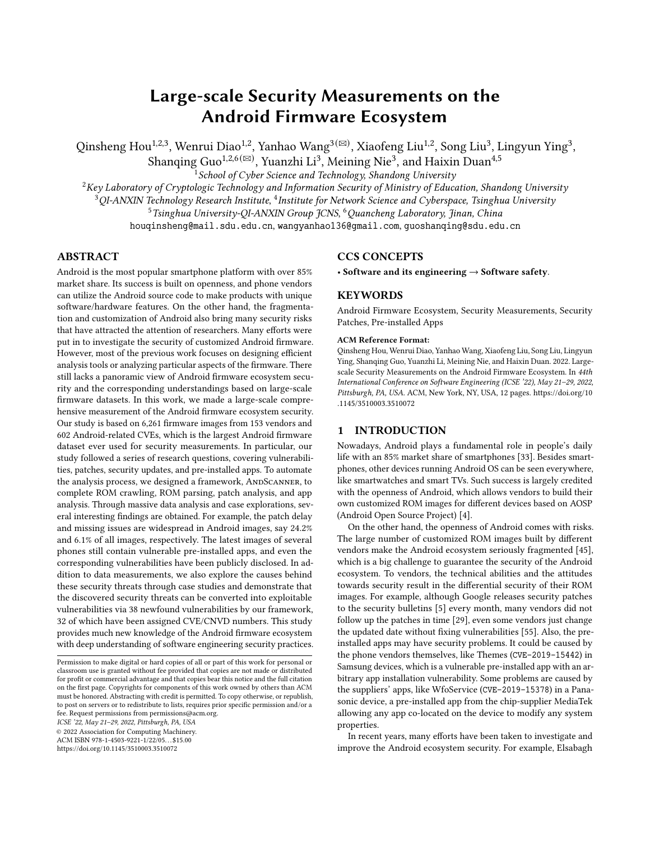# Large-scale Security Measurements on the Android Firmware Ecosystem

Qinsheng Hou $^{1,2,3}$ , Wenrui Diao $^{1,2}$ , Yanhao Wang $^{3 (\boxtimes)}$ , Xiaofeng Liu $^{1,2}$ , Song Liu $^3$ , Lingyun Ying $^3$ ,

Shanqing Guo $^{1,2,6\,(\boxtimes)}$ , Yuanzhi Li<sup>3</sup>, Meining Nie<sup>3</sup>, and Haixin Duan<sup>4,5</sup>

 $^1$ School of Cyber Science and Technology, Shandong University

 $2$ Key Laboratory of Cryptologic Technology and Information Security of Ministry of Education, Shandong University

 $^3$ QI-ANXIN Technology Research Institute,  $^4$ Institute for Network Science and Cyberspace, Tsinghua University

<sup>5</sup>Tsinghua University-QI-ANXIN Group JCNS, <sup>6</sup> Quancheng Laboratory, Jinan, China

houqinsheng@mail.sdu.edu.cn, wangyanhao136@gmail.com, guoshanqing@sdu.edu.cn

# ABSTRACT

Android is the most popular smartphone platform with over 85% market share. Its success is built on openness, and phone vendors can utilize the Android source code to make products with unique software/hardware features. On the other hand, the fragmentation and customization of Android also bring many security risks that have attracted the attention of researchers. Many efforts were put in to investigate the security of customized Android firmware. However, most of the previous work focuses on designing efficient analysis tools or analyzing particular aspects of the firmware. There still lacks a panoramic view of Android firmware ecosystem security and the corresponding understandings based on large-scale firmware datasets. In this work, we made a large-scale comprehensive measurement of the Android firmware ecosystem security. Our study is based on 6,261 firmware images from 153 vendors and 602 Android-related CVEs, which is the largest Android firmware dataset ever used for security measurements. In particular, our study followed a series of research questions, covering vulnerabilities, patches, security updates, and pre-installed apps. To automate the analysis process, we designed a framework, ANDSCANNER, to complete ROM crawling, ROM parsing, patch analysis, and app analysis. Through massive data analysis and case explorations, several interesting findings are obtained. For example, the patch delay and missing issues are widespread in Android images, say 24.2% and 6.1% of all images, respectively. The latest images of several phones still contain vulnerable pre-installed apps, and even the corresponding vulnerabilities have been publicly disclosed. In addition to data measurements, we also explore the causes behind these security threats through case studies and demonstrate that the discovered security threats can be converted into exploitable vulnerabilities via 38 newfound vulnerabilities by our framework, 32 of which have been assigned CVE/CNVD numbers. This study provides much new knowledge of the Android firmware ecosystem with deep understanding of software engineering security practices.

ICSE '22, May 21–29, 2022, Pittsburgh, PA, USA

© 2022 Association for Computing Machinery.

ACM ISBN 978-1-4503-9221-1/22/05. . . \$15.00

https://doi.org/10.1145/3510003.3510072

# CCS CONCEPTS

• Software and its engineering  $\rightarrow$  Software safety.

## KEYWORDS

Android Firmware Ecosystem, Security Measurements, Security Patches, Pre-installed Apps

#### ACM Reference Format:

Qinsheng Hou, Wenrui Diao, Yanhao Wang, Xiaofeng Liu, Song Liu, Lingyun Ying, Shanqing Guo, Yuanzhi Li, Meining Nie, and Haixin Duan. 2022. Largescale Security Measurements on the Android Firmware Ecosystem. In 44th International Conference on Software Engineering (ICSE '22), May 21–29, 2022, Pittsburgh, PA, USA. ACM, New York, NY, USA, 12 pages. https://doi.org/10 .1145/3510003.3510072

## 1 INTRODUCTION

Nowadays, Android plays a fundamental role in people's daily life with an 85% market share of smartphones [33]. Besides smartphones, other devices running Android OS can be seen everywhere, like smartwatches and smart TVs. Such success is largely credited with the openness of Android, which allows vendors to build their own customized ROM images for different devices based on AOSP (Android Open Source Project) [4].

On the other hand, the openness of Android comes with risks. The large number of customized ROM images built by different vendors make the Android ecosystem seriously fragmented [45], which is a big challenge to guarantee the security of the Android ecosystem. To vendors, the technical abilities and the attitudes towards security result in the differential security of their ROM images. For example, although Google releases security patches to the security bulletins [5] every month, many vendors did not follow up the patches in time [29], even some vendors just change the updated date without fixing vulnerabilities [55]. Also, the preinstalled apps may have security problems. It could be caused by the phone vendors themselves, like Themes (CVE-2019-15442) in Samsung devices, which is a vulnerable pre-installed app with an arbitrary app installation vulnerability. Some problems are caused by the suppliers' apps, like WfoService (CVE-2019-15378) in a Panasonic device, a pre-installed app from the chip-supplier MediaTek allowing any app co-located on the device to modify any system properties.

In recent years, many efforts have been taken to investigate and improve the Android ecosystem security. For example, Elsabagh

Permission to make digital or hard copies of all or part of this work for personal or classroom use is granted without fee provided that copies are not made or distributed for profit or commercial advantage and that copies bear this notice and the full citation on the first page. Copyrights for components of this work owned by others than ACM must be honored. Abstracting with credit is permitted. To copy otherwise, or republish, to post on servers or to redistribute to lists, requires prior specific permission and/or a fee. Request permissions from permissions@acm.org.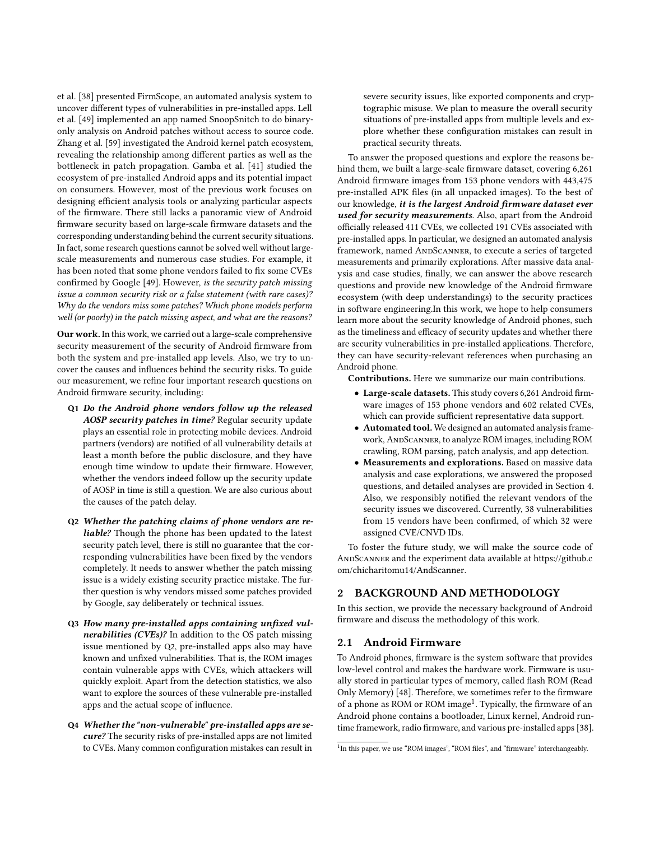et al. [38] presented FirmScope, an automated analysis system to uncover different types of vulnerabilities in pre-installed apps. Lell et al. [49] implemented an app named SnoopSnitch to do binaryonly analysis on Android patches without access to source code. Zhang et al. [59] investigated the Android kernel patch ecosystem, revealing the relationship among different parties as well as the bottleneck in patch propagation. Gamba et al. [41] studied the ecosystem of pre-installed Android apps and its potential impact on consumers. However, most of the previous work focuses on designing efficient analysis tools or analyzing particular aspects of the firmware. There still lacks a panoramic view of Android firmware security based on large-scale firmware datasets and the corresponding understanding behind the current security situations. In fact, some research questions cannot be solved well without largescale measurements and numerous case studies. For example, it has been noted that some phone vendors failed to fix some CVEs confirmed by Google [49]. However, is the security patch missing issue a common security risk or a false statement (with rare cases)? Why do the vendors miss some patches? Which phone models perform well (or poorly) in the patch missing aspect, and what are the reasons?

Our work. In this work, we carried out a large-scale comprehensive security measurement of the security of Android firmware from both the system and pre-installed app levels. Also, we try to uncover the causes and influences behind the security risks. To guide our measurement, we refine four important research questions on Android firmware security, including:

- Q1 Do the Android phone vendors follow up the released AOSP security patches in time? Regular security update plays an essential role in protecting mobile devices. Android partners (vendors) are notified of all vulnerability details at least a month before the public disclosure, and they have enough time window to update their firmware. However, whether the vendors indeed follow up the security update of AOSP in time is still a question. We are also curious about the causes of the patch delay.
- Q2 Whether the patching claims of phone vendors are reliable? Though the phone has been updated to the latest security patch level, there is still no guarantee that the corresponding vulnerabilities have been fixed by the vendors completely. It needs to answer whether the patch missing issue is a widely existing security practice mistake. The further question is why vendors missed some patches provided by Google, say deliberately or technical issues.
- Q3 How many pre-installed apps containing unfixed vulnerabilities (CVEs)? In addition to the OS patch missing issue mentioned by Q2, pre-installed apps also may have known and unfixed vulnerabilities. That is, the ROM images contain vulnerable apps with CVEs, which attackers will quickly exploit. Apart from the detection statistics, we also want to explore the sources of these vulnerable pre-installed apps and the actual scope of influence.
- Q4 Whether the "non-vulnerable" pre-installed apps are secure? The security risks of pre-installed apps are not limited to CVEs. Many common configuration mistakes can result in

severe security issues, like exported components and cryptographic misuse. We plan to measure the overall security situations of pre-installed apps from multiple levels and explore whether these configuration mistakes can result in practical security threats.

To answer the proposed questions and explore the reasons behind them, we built a large-scale firmware dataset, covering 6,261 Android firmware images from 153 phone vendors with 443,475 pre-installed APK files (in all unpacked images). To the best of our knowledge, it is the largest Android firmware dataset ever used for security measurements. Also, apart from the Android officially released 411 CVEs, we collected 191 CVEs associated with pre-installed apps. In particular, we designed an automated analysis framework, named AndScanner, to execute a series of targeted measurements and primarily explorations. After massive data analysis and case studies, finally, we can answer the above research questions and provide new knowledge of the Android firmware ecosystem (with deep understandings) to the security practices in software engineering.In this work, we hope to help consumers learn more about the security knowledge of Android phones, such as the timeliness and efficacy of security updates and whether there are security vulnerabilities in pre-installed applications. Therefore, they can have security-relevant references when purchasing an Android phone.

Contributions. Here we summarize our main contributions.

- Large-scale datasets. This study covers 6,261 Android firmware images of 153 phone vendors and 602 related CVEs, which can provide sufficient representative data support.
- Automated tool. We designed an automated analysis framework, AndScanner, to analyze ROM images, including ROM crawling, ROM parsing, patch analysis, and app detection.
- Measurements and explorations. Based on massive data analysis and case explorations, we answered the proposed questions, and detailed analyses are provided in Section 4. Also, we responsibly notified the relevant vendors of the security issues we discovered. Currently, 38 vulnerabilities from 15 vendors have been confirmed, of which 32 were assigned CVE/CNVD IDs.

To foster the future study, we will make the source code of ANDSCANNER and the experiment data available at https://github.c om/chicharitomu14/AndScanner.

# 2 BACKGROUND AND METHODOLOGY

In this section, we provide the necessary background of Android firmware and discuss the methodology of this work.

## 2.1 Android Firmware

To Android phones, firmware is the system software that provides low-level control and makes the hardware work. Firmware is usually stored in particular types of memory, called flash ROM (Read Only Memory) [48]. Therefore, we sometimes refer to the firmware of a phone as ROM or ROM image<sup>1</sup>. Typically, the firmware of an Android phone contains a bootloader, Linux kernel, Android runtime framework, radio firmware, and various pre-installed apps [38].

<sup>&</sup>lt;sup>1</sup>In this paper, we use "ROM images", "ROM files", and "firmware" interchangeably.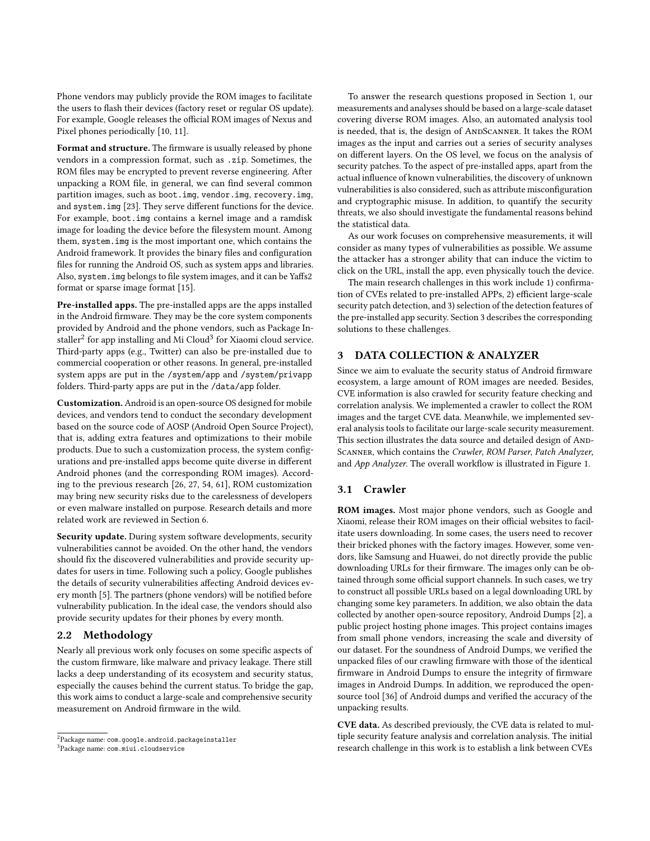Phone vendors may publicly provide the ROM images to facilitate the users to flash their devices (factory reset or regular OS update). For example, Google releases the official ROM images of Nexus and Pixel phones periodically [10, 11].

Format and structure. The firmware is usually released by phone vendors in a compression format, such as .zip. Sometimes, the ROM files may be encrypted to prevent reverse engineering. After unpacking a ROM file, in general, we can find several common partition images, such as boot.img, vendor.img, recovery.img, and system.img [23]. They serve different functions for the device. For example, boot.img contains a kernel image and a ramdisk image for loading the device before the filesystem mount. Among them, system.img is the most important one, which contains the Android framework. It provides the binary files and configuration files for running the Android OS, such as system apps and libraries. Also, system.img belongs to file system images, and it can be Yaffs2 format or sparse image format [15].

Pre-installed apps. The pre-installed apps are the apps installed in the Android firmware. They may be the core system components provided by Android and the phone vendors, such as Package In- $\mathrm{staller}^2$  for app installing and Mi Cloud $^3$  for Xiaomi cloud service. Third-party apps (e.g., Twitter) can also be pre-installed due to commercial cooperation or other reasons. In general, pre-installed system apps are put in the /system/app and /system/privapp folders. Third-party apps are put in the /data/app folder.

Customization. Android is an open-source OS designed for mobile devices, and vendors tend to conduct the secondary development based on the source code of AOSP (Android Open Source Project), that is, adding extra features and optimizations to their mobile products. Due to such a customization process, the system configurations and pre-installed apps become quite diverse in different Android phones (and the corresponding ROM images). According to the previous research [26, 27, 54, 61], ROM customization may bring new security risks due to the carelessness of developers or even malware installed on purpose. Research details and more related work are reviewed in Section 6.

Security update. During system software developments, security vulnerabilities cannot be avoided. On the other hand, the vendors should fix the discovered vulnerabilities and provide security updates for users in time. Following such a policy, Google publishes the details of security vulnerabilities affecting Android devices every month [5]. The partners (phone vendors) will be notified before vulnerability publication. In the ideal case, the vendors should also provide security updates for their phones by every month.

#### 2.2 Methodology

Nearly all previous work only focuses on some specific aspects of the custom firmware, like malware and privacy leakage. There still lacks a deep understanding of its ecosystem and security status, especially the causes behind the current status. To bridge the gap, this work aims to conduct a large-scale and comprehensive security measurement on Android firmware in the wild.

To answer the research questions proposed in Section 1, our measurements and analyses should be based on a large-scale dataset covering diverse ROM images. Also, an automated analysis tool is needed, that is, the design of ANDSCANNER. It takes the ROM images as the input and carries out a series of security analyses on different layers. On the OS level, we focus on the analysis of security patches. To the aspect of pre-installed apps, apart from the actual influence of known vulnerabilities, the discovery of unknown vulnerabilities is also considered, such as attribute misconfiguration and cryptographic misuse. In addition, to quantify the security threats, we also should investigate the fundamental reasons behind the statistical data.

As our work focuses on comprehensive measurements, it will consider as many types of vulnerabilities as possible. We assume the attacker has a stronger ability that can induce the victim to click on the URL, install the app, even physically touch the device.

The main research challenges in this work include 1) confirmation of CVEs related to pre-installed APPs, 2) efficient large-scale security patch detection, and 3) selection of the detection features of the pre-installed app security. Section 3 describes the corresponding solutions to these challenges.

# 3 DATA COLLECTION & ANALYZER

Since we aim to evaluate the security status of Android firmware ecosystem, a large amount of ROM images are needed. Besides, CVE information is also crawled for security feature checking and correlation analysis. We implemented a crawler to collect the ROM images and the target CVE data. Meanwhile, we implemented several analysis tools to facilitate our large-scale security measurement. This section illustrates the data source and detailed design of AND-Scanner, which contains the Crawler, ROM Parser, Patch Analyzer, and App Analyzer. The overall workflow is illustrated in Figure 1.

# 3.1 Crawler

ROM images. Most major phone vendors, such as Google and Xiaomi, release their ROM images on their official websites to facilitate users downloading. In some cases, the users need to recover their bricked phones with the factory images. However, some vendors, like Samsung and Huawei, do not directly provide the public downloading URLs for their firmware. The images only can be obtained through some official support channels. In such cases, we try to construct all possible URLs based on a legal downloading URL by changing some key parameters. In addition, we also obtain the data collected by another open-source repository, Android Dumps [2], a public project hosting phone images. This project contains images from small phone vendors, increasing the scale and diversity of our dataset. For the soundness of Android Dumps, we verified the unpacked files of our crawling firmware with those of the identical firmware in Android Dumps to ensure the integrity of firmware images in Android Dumps. In addition, we reproduced the opensource tool [36] of Android dumps and verified the accuracy of the unpacking results.

CVE data. As described previously, the CVE data is related to multiple security feature analysis and correlation analysis. The initial research challenge in this work is to establish a link between CVEs

<sup>&</sup>lt;sup>2</sup>Package name: com.google.android.packageinstaller

<sup>3</sup>Package name: com.miui.cloudservice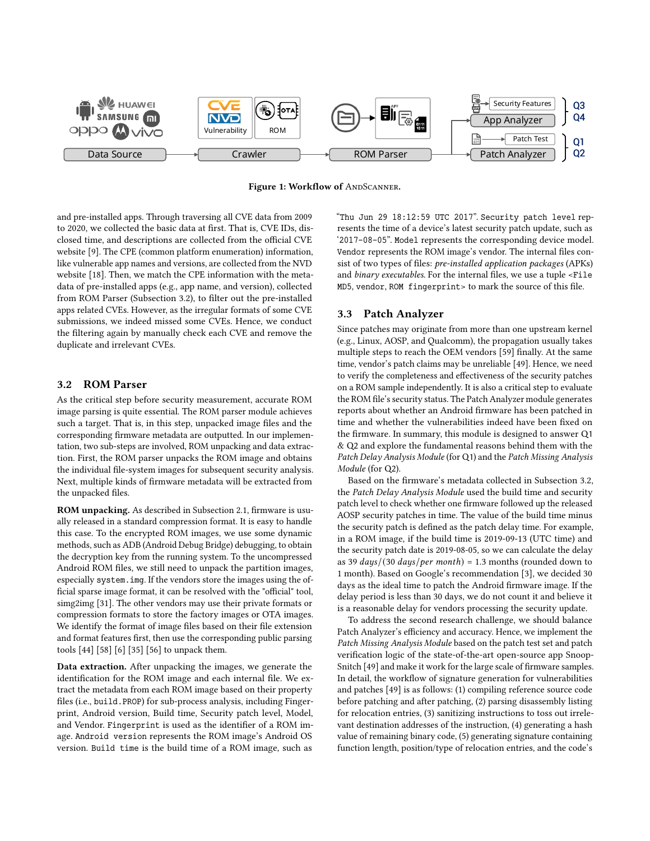

Figure 1: Workflow of ANDSCANNER.

and pre-installed apps. Through traversing all CVE data from 2009 to 2020, we collected the basic data at first. That is, CVE IDs, disclosed time, and descriptions are collected from the official CVE website [9]. The CPE (common platform enumeration) information, like vulnerable app names and versions, are collected from the NVD website [18]. Then, we match the CPE information with the metadata of pre-installed apps (e.g., app name, and version), collected from ROM Parser (Subsection 3.2), to filter out the pre-installed apps related CVEs. However, as the irregular formats of some CVE submissions, we indeed missed some CVEs. Hence, we conduct the filtering again by manually check each CVE and remove the duplicate and irrelevant CVEs.

# 3.2 ROM Parser

As the critical step before security measurement, accurate ROM image parsing is quite essential. The ROM parser module achieves such a target. That is, in this step, unpacked image files and the corresponding firmware metadata are outputted. In our implementation, two sub-steps are involved, ROM unpacking and data extraction. First, the ROM parser unpacks the ROM image and obtains the individual file-system images for subsequent security analysis. Next, multiple kinds of firmware metadata will be extracted from the unpacked files.

ROM unpacking. As described in Subsection 2.1, firmware is usually released in a standard compression format. It is easy to handle this case. To the encrypted ROM images, we use some dynamic methods, such as ADB (Android Debug Bridge) debugging, to obtain the decryption key from the running system. To the uncompressed Android ROM files, we still need to unpack the partition images, especially system.img. If the vendors store the images using the official sparse image format, it can be resolved with the "official" tool, simg2img [31]. The other vendors may use their private formats or compression formats to store the factory images or OTA images. We identify the format of image files based on their file extension and format features first, then use the corresponding public parsing tools [44] [58] [6] [35] [56] to unpack them.

Data extraction. After unpacking the images, we generate the identification for the ROM image and each internal file. We extract the metadata from each ROM image based on their property files (i.e., build.PROP) for sub-process analysis, including Fingerprint, Android version, Build time, Security patch level, Model, and Vendor. Fingerprint is used as the identifier of a ROM image. Android version represents the ROM image's Android OS version. Build time is the build time of a ROM image, such as

"Thu Jun 29 18:12:59 UTC 2017". Security patch level represents the time of a device's latest security patch update, such as '2017-08-05". Model represents the corresponding device model. Vendor represents the ROM image's vendor. The internal files consist of two types of files: pre-installed application packages (APKs) and binary executables. For the internal files, we use a tuple <File MD5, vendor, ROM fingerprint> to mark the source of this file.

## 3.3 Patch Analyzer

Since patches may originate from more than one upstream kernel (e.g., Linux, AOSP, and Qualcomm), the propagation usually takes multiple steps to reach the OEM vendors [59] finally. At the same time, vendor's patch claims may be unreliable [49]. Hence, we need to verify the completeness and effectiveness of the security patches on a ROM sample independently. It is also a critical step to evaluate the ROM file's security status. The Patch Analyzer module generates reports about whether an Android firmware has been patched in time and whether the vulnerabilities indeed have been fixed on the firmware. In summary, this module is designed to answer Q1 & Q2 and explore the fundamental reasons behind them with the Patch Delay Analysis Module (for Q1) and the Patch Missing Analysis Module (for Q2).

Based on the firmware's metadata collected in Subsection 3.2, the Patch Delay Analysis Module used the build time and security patch level to check whether one firmware followed up the released AOSP security patches in time. The value of the build time minus the security patch is defined as the patch delay time. For example, in a ROM image, if the build time is 2019-09-13 (UTC time) and the security patch date is 2019-08-05, so we can calculate the delay as 39  $days/(30 \ days/per month) = 1.3 months (rounded down to$ 1 month). Based on Google's recommendation [3], we decided 30 days as the ideal time to patch the Android firmware image. If the delay period is less than 30 days, we do not count it and believe it is a reasonable delay for vendors processing the security update.

To address the second research challenge, we should balance Patch Analyzer's efficiency and accuracy. Hence, we implement the Patch Missing Analysis Module based on the patch test set and patch verification logic of the state-of-the-art open-source app Snoop-Snitch [49] and make it work for the large scale of firmware samples. In detail, the workflow of signature generation for vulnerabilities and patches [49] is as follows: (1) compiling reference source code before patching and after patching, (2) parsing disassembly listing for relocation entries, (3) sanitizing instructions to toss out irrelevant destination addresses of the instruction, (4) generating a hash value of remaining binary code, (5) generating signature containing function length, position/type of relocation entries, and the code's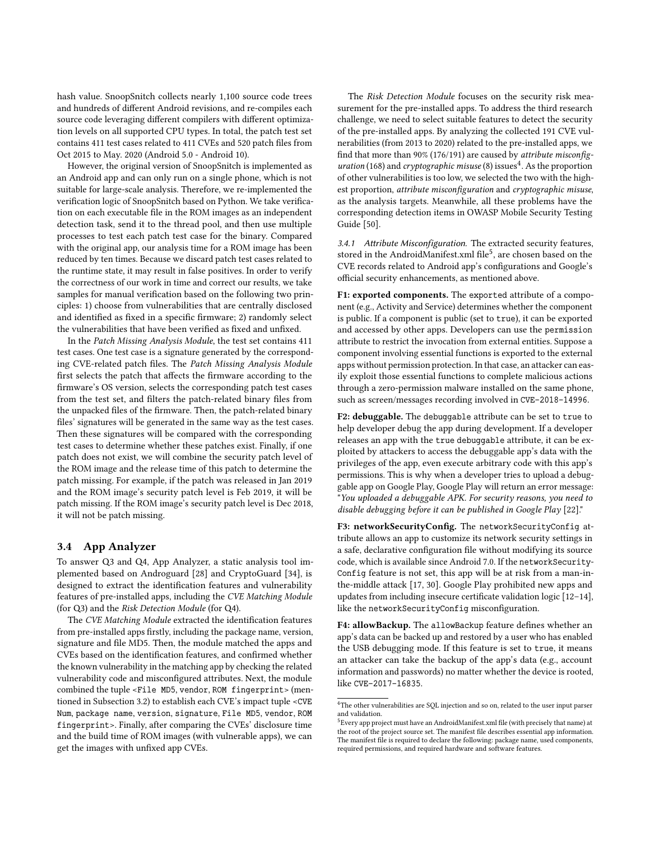hash value. SnoopSnitch collects nearly 1,100 source code trees and hundreds of different Android revisions, and re-compiles each source code leveraging different compilers with different optimization levels on all supported CPU types. In total, the patch test set contains 411 test cases related to 411 CVEs and 520 patch files from Oct 2015 to May. 2020 (Android 5.0 - Android 10).

However, the original version of SnoopSnitch is implemented as an Android app and can only run on a single phone, which is not suitable for large-scale analysis. Therefore, we re-implemented the verification logic of SnoopSnitch based on Python. We take verification on each executable file in the ROM images as an independent detection task, send it to the thread pool, and then use multiple processes to test each patch test case for the binary. Compared with the original app, our analysis time for a ROM image has been reduced by ten times. Because we discard patch test cases related to the runtime state, it may result in false positives. In order to verify the correctness of our work in time and correct our results, we take samples for manual verification based on the following two principles: 1) choose from vulnerabilities that are centrally disclosed and identified as fixed in a specific firmware; 2) randomly select the vulnerabilities that have been verified as fixed and unfixed.

In the Patch Missing Analysis Module, the test set contains 411 test cases. One test case is a signature generated by the corresponding CVE-related patch files. The Patch Missing Analysis Module first selects the patch that affects the firmware according to the firmware's OS version, selects the corresponding patch test cases from the test set, and filters the patch-related binary files from the unpacked files of the firmware. Then, the patch-related binary files' signatures will be generated in the same way as the test cases. Then these signatures will be compared with the corresponding test cases to determine whether these patches exist. Finally, if one patch does not exist, we will combine the security patch level of the ROM image and the release time of this patch to determine the patch missing. For example, if the patch was released in Jan 2019 and the ROM image's security patch level is Feb 2019, it will be patch missing. If the ROM image's security patch level is Dec 2018, it will not be patch missing.

# 3.4 App Analyzer

To answer Q3 and Q4, App Analyzer, a static analysis tool implemented based on Androguard [28] and CryptoGuard [34], is designed to extract the identification features and vulnerability features of pre-installed apps, including the CVE Matching Module (for Q3) and the Risk Detection Module (for Q4).

The CVE Matching Module extracted the identification features from pre-installed apps firstly, including the package name, version, signature and file MD5. Then, the module matched the apps and CVEs based on the identification features, and confirmed whether the known vulnerability in the matching app by checking the related vulnerability code and misconfigured attributes. Next, the module combined the tuple <File MD5, vendor, ROM fingerprint> (mentioned in Subsection 3.2) to establish each CVE's impact tuple <CVE Num, package name, version, signature, File MD5, vendor, ROM fingerprint>. Finally, after comparing the CVEs' disclosure time and the build time of ROM images (with vulnerable apps), we can get the images with unfixed app CVEs.

The Risk Detection Module focuses on the security risk measurement for the pre-installed apps. To address the third research challenge, we need to select suitable features to detect the security of the pre-installed apps. By analyzing the collected 191 CVE vulnerabilities (from 2013 to 2020) related to the pre-installed apps, we find that more than 90% (176/191) are caused by attribute misconfiguration (168) and cryptographic misuse (8) issues<sup>4</sup>. As the proportion of other vulnerabilities is too low, we selected the two with the highest proportion, attribute misconfiguration and cryptographic misuse, as the analysis targets. Meanwhile, all these problems have the corresponding detection items in OWASP Mobile Security Testing Guide [50].

3.4.1 Attribute Misconfiguration. The extracted security features, stored in the AndroidManifest.xml file<sup>5</sup>, are chosen based on the CVE records related to Android app's configurations and Google's official security enhancements, as mentioned above.

F1: exported components. The exported attribute of a component (e.g., Activity and Service) determines whether the component is public. If a component is public (set to true), it can be exported and accessed by other apps. Developers can use the permission attribute to restrict the invocation from external entities. Suppose a component involving essential functions is exported to the external apps without permission protection. In that case, an attacker can easily exploit those essential functions to complete malicious actions through a zero-permission malware installed on the same phone, such as screen/messages recording involved in CVE-2018-14996.

F2: debuggable. The debuggable attribute can be set to true to help developer debug the app during development. If a developer releases an app with the true debuggable attribute, it can be exploited by attackers to access the debuggable app's data with the privileges of the app, even execute arbitrary code with this app's permissions. This is why when a developer tries to upload a debuggable app on Google Play, Google Play will return an error message: "You uploaded a debuggable APK. For security reasons, you need to disable debugging before it can be published in Google Play [22]."

F3: networkSecurityConfig. The networkSecurityConfig attribute allows an app to customize its network security settings in a safe, declarative configuration file without modifying its source code, which is available since Android 7.0. If the networkSecurity-Config feature is not set, this app will be at risk from a man-inthe-middle attack [17, 30]. Google Play prohibited new apps and updates from including insecure certificate validation logic [12–14], like the networkSecurityConfig misconfiguration.

F4: allowBackup. The allowBackup feature defines whether an app's data can be backed up and restored by a user who has enabled the USB debugging mode. If this feature is set to true, it means an attacker can take the backup of the app's data (e.g., account information and passwords) no matter whether the device is rooted, like CVE-2017-16835.

 ${}^{4}{\rm The}$  other vulnerabilities are SQL injection and so on, related to the user input parser and validation.

 $^{5}$ Every app project must have an AndroidManifest.xml file (with precisely that name) at the root of the project source set. The manifest file describes essential app information. The manifest file is required to declare the following: package name, used components, required permissions, and required hardware and software features.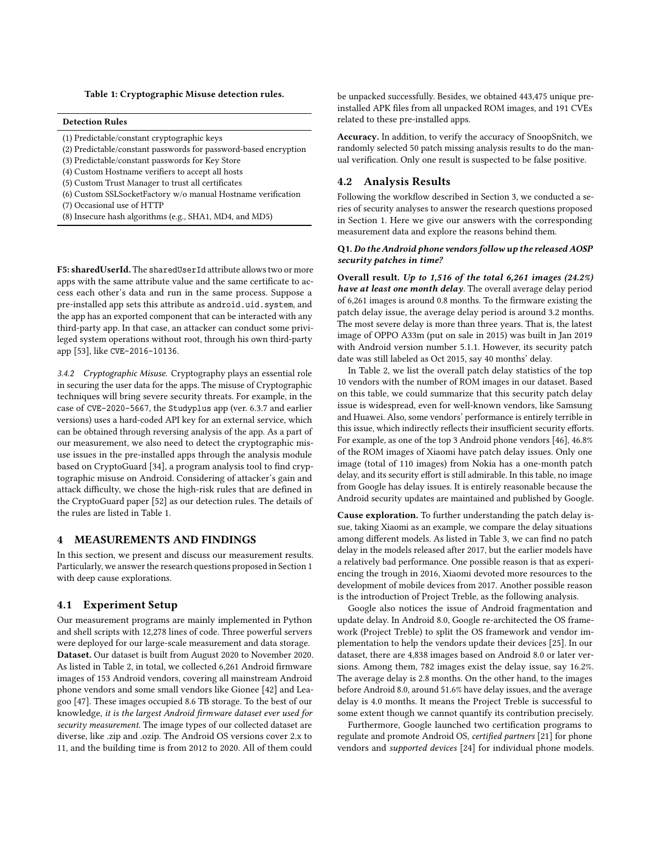#### Table 1: Cryptographic Misuse detection rules.

## Detection Rules

- (1) Predictable/constant cryptographic keys
- (2) Predictable/constant passwords for password-based encryption
- (3) Predictable/constant passwords for Key Store
- (4) Custom Hostname verifiers to accept all hosts
- (5) Custom Trust Manager to trust all certificates
- (6) Custom SSLSocketFactory w/o manual Hostname verification
- (7) Occasional use of HTTP
- (8) Insecure hash algorithms (e.g., SHA1, MD4, and MD5)

F5: sharedUserId. The sharedUserId attribute allows two or more apps with the same attribute value and the same certificate to access each other's data and run in the same process. Suppose a pre-installed app sets this attribute as android.uid.system, and the app has an exported component that can be interacted with any third-party app. In that case, an attacker can conduct some privileged system operations without root, through his own third-party app [53], like CVE-2016-10136.

3.4.2 Cryptographic Misuse. Cryptography plays an essential role in securing the user data for the apps. The misuse of Cryptographic techniques will bring severe security threats. For example, in the case of CVE-2020-5667, the Studyplus app (ver. 6.3.7 and earlier versions) uses a hard-coded API key for an external service, which can be obtained through reversing analysis of the app. As a part of our measurement, we also need to detect the cryptographic misuse issues in the pre-installed apps through the analysis module based on CryptoGuard [34], a program analysis tool to find cryptographic misuse on Android. Considering of attacker's gain and attack difficulty, we chose the high-risk rules that are defined in the CryptoGuard paper [52] as our detection rules. The details of the rules are listed in Table 1.

## 4 MEASUREMENTS AND FINDINGS

In this section, we present and discuss our measurement results. Particularly, we answer the research questions proposed in Section 1 with deep cause explorations.

#### 4.1 Experiment Setup

Our measurement programs are mainly implemented in Python and shell scripts with 12,278 lines of code. Three powerful servers were deployed for our large-scale measurement and data storage. Dataset. Our dataset is built from August 2020 to November 2020. As listed in Table 2, in total, we collected 6,261 Android firmware images of 153 Android vendors, covering all mainstream Android phone vendors and some small vendors like Gionee [42] and Leagoo [47]. These images occupied 8.6 TB storage. To the best of our knowledge, it is the largest Android firmware dataset ever used for security measurement. The image types of our collected dataset are diverse, like .zip and .ozip. The Android OS versions cover 2.x to 11, and the building time is from 2012 to 2020. All of them could

be unpacked successfully. Besides, we obtained 443,475 unique preinstalled APK files from all unpacked ROM images, and 191 CVEs related to these pre-installed apps.

Accuracy. In addition, to verify the accuracy of SnoopSnitch, we randomly selected 50 patch missing analysis results to do the manual verification. Only one result is suspected to be false positive.

#### 4.2 Analysis Results

Following the workflow described in Section 3, we conducted a series of security analyses to answer the research questions proposed in Section 1. Here we give our answers with the corresponding measurement data and explore the reasons behind them.

#### Q1.Do the Android phone vendors follow up the released AOSP security patches in time?

Overall result. Up to 1,516 of the total 6,261 images (24.2%) have at least one month delay. The overall average delay period of 6,261 images is around 0.8 months. To the firmware existing the patch delay issue, the average delay period is around 3.2 months. The most severe delay is more than three years. That is, the latest image of OPPO A33m (put on sale in 2015) was built in Jan 2019 with Android version number 5.1.1. However, its security patch date was still labeled as Oct 2015, say 40 months' delay.

In Table 2, we list the overall patch delay statistics of the top 10 vendors with the number of ROM images in our dataset. Based on this table, we could summarize that this security patch delay issue is widespread, even for well-known vendors, like Samsung and Huawei. Also, some vendors' performance is entirely terrible in this issue, which indirectly reflects their insufficient security efforts. For example, as one of the top 3 Android phone vendors [46], 46.8% of the ROM images of Xiaomi have patch delay issues. Only one image (total of 110 images) from Nokia has a one-month patch delay, and its security effort is still admirable. In this table, no image from Google has delay issues. It is entirely reasonable because the Android security updates are maintained and published by Google.

Cause exploration. To further understanding the patch delay issue, taking Xiaomi as an example, we compare the delay situations among different models. As listed in Table 3, we can find no patch delay in the models released after 2017, but the earlier models have a relatively bad performance. One possible reason is that as experiencing the trough in 2016, Xiaomi devoted more resources to the development of mobile devices from 2017. Another possible reason is the introduction of Project Treble, as the following analysis.

Google also notices the issue of Android fragmentation and update delay. In Android 8.0, Google re-architected the OS framework (Project Treble) to split the OS framework and vendor implementation to help the vendors update their devices [25]. In our dataset, there are 4,838 images based on Android 8.0 or later versions. Among them, 782 images exist the delay issue, say 16.2%. The average delay is 2.8 months. On the other hand, to the images before Android 8.0, around 51.6% have delay issues, and the average delay is 4.0 months. It means the Project Treble is successful to some extent though we cannot quantify its contribution precisely.

Furthermore, Google launched two certification programs to regulate and promote Android OS, certified partners [21] for phone vendors and supported devices [24] for individual phone models.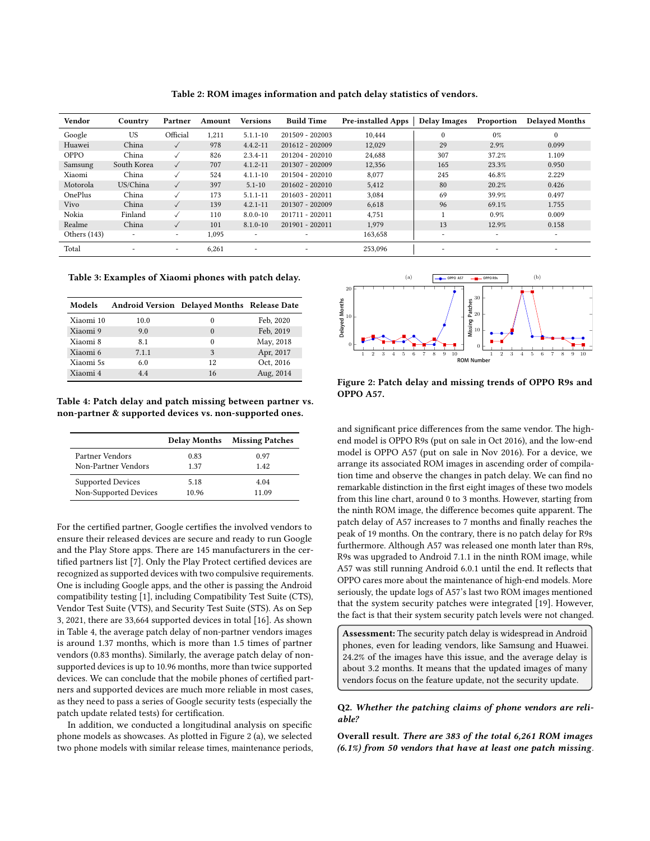| Vendor         | Country                  | Partner      | Amount | <b>Versions</b>          | <b>Build Time</b>        | <b>Pre-installed Apps</b> | <b>Delay Images</b> | Proportion               | <b>Delayed Months</b> |
|----------------|--------------------------|--------------|--------|--------------------------|--------------------------|---------------------------|---------------------|--------------------------|-----------------------|
| Google         | US                       | Official     | 1.211  | $5.1.1 - 10$             | 201509 - 202003          | 10.444                    | 0                   | 0%                       | $\mathbf{0}$          |
| Huawei         | China                    | $\checkmark$ | 978    | $4.4.2 - 11$             | 201612 - 202009          | 12,029                    | 29                  | 2.9%                     | 0.099                 |
| <b>OPPO</b>    | China                    | $\checkmark$ | 826    | $2.3.4 - 11$             | 201204 - 202010          | 24.688                    | 307                 | 37.2%                    | 1.109                 |
| Samsung        | South Korea              | $\checkmark$ | 707    | $4.1.2 - 11$             | 201307 - 202009          | 12,356                    | 165                 | 23.3%                    | 0.950                 |
| Xiaomi         | China                    | $\checkmark$ | 524    | $4.1.1 - 10$             | 201504 - 202010          | 8,077                     | 245                 | 46.8%                    | 2.229                 |
| Motorola       | US/China                 | $\checkmark$ | 397    | $5.1 - 10$               | 201602 - 202010          | 5,412                     | 80                  | 20.2%                    | 0.426                 |
| OnePlus        | China                    | $\checkmark$ | 173    | $5.1.1 - 11$             | 201603 - 202011          | 3,084                     | 69                  | 39.9%                    | 0.497                 |
| Vivo           | China                    | $\checkmark$ | 139    | $4.2.1 - 11$             | 201307 - 202009          | 6,618                     | 96                  | 69.1%                    | 1.755                 |
| Nokia          | Finland                  | ✓            | 110    | $8.0.0 - 10$             | 201711 - 202011          | 4,751                     |                     | 0.9%                     | 0.009                 |
| Realme         | China                    | $\checkmark$ | 101    | $8.1.0 - 10$             | 201901 - 202011          | 1.979                     | 13                  | 12.9%                    | 0.158                 |
| Others $(143)$ | $\overline{\phantom{a}}$ | ۰            | 1,095  | $\overline{\phantom{a}}$ | $\overline{\phantom{a}}$ | 163,658                   | -                   | $\overline{\phantom{a}}$ | -                     |
| Total          | -                        | ٠            | 6,261  | $\overline{\phantom{a}}$ | $\overline{\phantom{a}}$ | 253.096                   | -                   | $\overline{\phantom{a}}$ | -                     |

Table 2: ROM images information and patch delay statistics of vendors.

Table 3: Examples of Xiaomi phones with patch delay.

| Models    |       | Android Version Delayed Months Release Date |           |
|-----------|-------|---------------------------------------------|-----------|
| Xiaomi 10 | 10.0  | 0                                           | Feb. 2020 |
| Xiaomi 9  | 9.0   | $\theta$                                    | Feb. 2019 |
| Xiaomi 8  | 8.1   | $\Omega$                                    | May, 2018 |
| Xiaomi 6  | 7.1.1 | 3                                           | Apr, 2017 |
| Xiaomi 5s | 6.0   | 12                                          | Oct, 2016 |
| Xiaomi 4  | 44    | 16                                          | Aug, 2014 |

Table 4: Patch delay and patch missing between partner vs. non-partner & supported devices vs. non-supported ones.

|                          | <b>Delay Months</b> | <b>Missing Patches</b> |
|--------------------------|---------------------|------------------------|
| Partner Vendors          | 0.83                | 0.97                   |
| Non-Partner Vendors      | 1 37                | 142                    |
| <b>Supported Devices</b> | 5.18                | 4.04                   |
| Non-Supported Devices    | 10 96               | 11 09                  |

For the certified partner, Google certifies the involved vendors to ensure their released devices are secure and ready to run Google and the Play Store apps. There are 145 manufacturers in the certified partners list [7]. Only the Play Protect certified devices are recognized as supported devices with two compulsive requirements. One is including Google apps, and the other is passing the Android compatibility testing [1], including Compatibility Test Suite (CTS), Vendor Test Suite (VTS), and Security Test Suite (STS). As on Sep 3, 2021, there are 33,664 supported devices in total [16]. As shown in Table 4, the average patch delay of non-partner vendors images is around 1.37 months, which is more than 1.5 times of partner vendors (0.83 months). Similarly, the average patch delay of nonsupported devices is up to 10.96 months, more than twice supported devices. We can conclude that the mobile phones of certified partners and supported devices are much more reliable in most cases, as they need to pass a series of Google security tests (especially the patch update related tests) for certification.

In addition, we conducted a longitudinal analysis on specific phone models as showcases. As plotted in Figure 2 (a), we selected two phone models with similar release times, maintenance periods,



Figure 2: Patch delay and missing trends of OPPO R9s and OPPO A57.

and significant price differences from the same vendor. The highend model is OPPO R9s (put on sale in Oct 2016), and the low-end model is OPPO A57 (put on sale in Nov 2016). For a device, we arrange its associated ROM images in ascending order of compilation time and observe the changes in patch delay. We can find no remarkable distinction in the first eight images of these two models from this line chart, around 0 to 3 months. However, starting from the ninth ROM image, the difference becomes quite apparent. The patch delay of A57 increases to 7 months and finally reaches the peak of 19 months. On the contrary, there is no patch delay for R9s furthermore. Although A57 was released one month later than R9s, R9s was upgraded to Android 7.1.1 in the ninth ROM image, while A57 was still running Android 6.0.1 until the end. It reflects that OPPO cares more about the maintenance of high-end models. More seriously, the update logs of A57's last two ROM images mentioned that the system security patches were integrated [19]. However, the fact is that their system security patch levels were not changed.

Assessment: The security patch delay is widespread in Android phones, even for leading vendors, like Samsung and Huawei. 24.2% of the images have this issue, and the average delay is about 3.2 months. It means that the updated images of many vendors focus on the feature update, not the security update.

#### Q2. Whether the patching claims of phone vendors are reliable?

Overall result. There are 383 of the total 6,261 ROM images (6.1%) from 50 vendors that have at least one patch missing.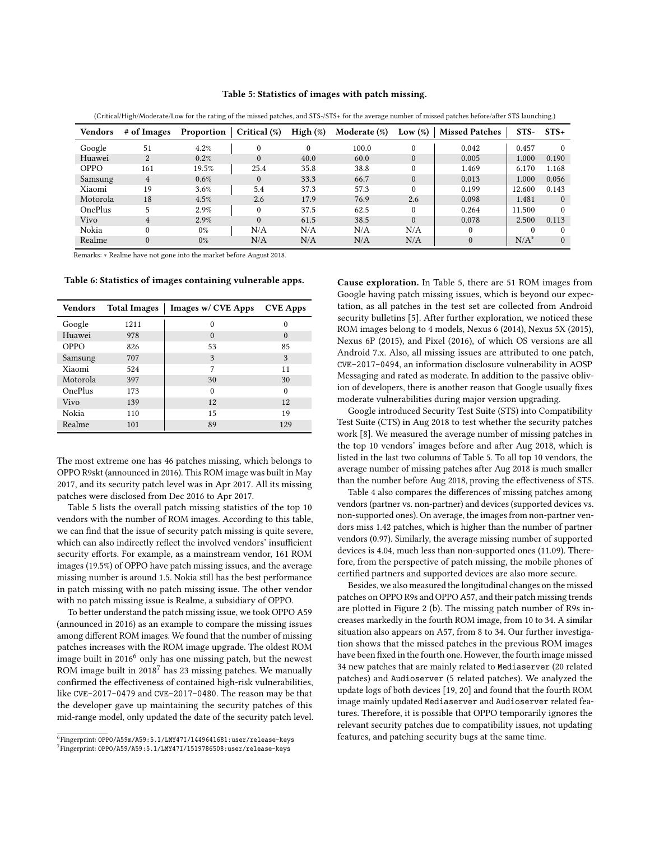#### Table 5: Statistics of images with patch missing.

| <b>Vendors</b> | # of Images    | Proportion | Critical (%) | High $(\%)$ | Moderate $(\%)$ | Low $(\%)$ | <b>Missed Patches</b> | $STS-$  | $STS+$   |
|----------------|----------------|------------|--------------|-------------|-----------------|------------|-----------------------|---------|----------|
| Google         | 51             | 4.2%       |              | $\Omega$    | 100.0           | 0          | 0.042                 | 0.457   |          |
| Huawei         | $\overline{2}$ | 0.2%       |              | 40.0        | 60.0            | $\Omega$   | 0.005                 | 1.000   | 0.190    |
| <b>OPPO</b>    | 161            | 19.5%      | 25.4         | 35.8        | 38.8            | 0          | 1.469                 | 6.170   | 1.168    |
| Samsung        | 4              | 0.6%       |              | 33.3        | 66.7            | 0          | 0.013                 | 1.000   | 0.056    |
| Xiaomi         | 19             | 3.6%       | 5.4          | 37.3        | 57.3            |            | 0.199                 | 12.600  | 0.143    |
| Motorola       | 18             | 4.5%       | 2.6          | 17.9        | 76.9            | 2.6        | 0.098                 | 1.481   | $\Omega$ |
| <b>OnePlus</b> |                | 2.9%       |              | 37.5        | 62.5            | 0          | 0.264                 | 11.500  |          |
| Vivo           | 4              | 2.9%       | $\Omega$     | 61.5        | 38.5            | $\theta$   | 0.078                 | 2.500   | 0.113    |
| Nokia          | $\theta$       | $0\%$      | N/A          | N/A         | N/A             | N/A        | $\theta$              |         |          |
| Realme         | $\theta$       | 0%         | N/A          | N/A         | N/A             | N/A        | $\mathbf{0}$          | $N/A^*$ |          |

(Critical/High/Moderate/Low for the rating of the missed patches, and STS-/STS+ for the average number of missed patches before/after STS launching.)

Remarks: ∗ Realme have not gone into the market before August 2018.

Table 6: Statistics of images containing vulnerable apps.

| Vendors  | <b>Total Images</b> | Images w/ CVE Apps | <b>CVE Apps</b> |
|----------|---------------------|--------------------|-----------------|
| Google   | 1211                | $\Omega$           | 0               |
| Huawei   | 978                 | $\Omega$           | $\Omega$        |
| OPPO     | 826                 | 53                 | 85              |
| Samsung  | 707                 | 3                  | 3               |
| Xiaomi   | 524                 | 7                  | 11              |
| Motorola | 397                 | 30                 | 30              |
| OnePlus  | 173                 | $\Omega$           | $\Omega$        |
| Vivo     | 139                 | 12                 | 12              |
| Nokia    | 110                 | 15                 | 19              |
| Realme   | 101                 | 89                 | 129             |
|          |                     |                    |                 |

The most extreme one has 46 patches missing, which belongs to OPPO R9skt (announced in 2016). This ROM image was built in May 2017, and its security patch level was in Apr 2017. All its missing patches were disclosed from Dec 2016 to Apr 2017.

Table 5 lists the overall patch missing statistics of the top 10 vendors with the number of ROM images. According to this table, we can find that the issue of security patch missing is quite severe, which can also indirectly reflect the involved vendors' insufficient security efforts. For example, as a mainstream vendor, 161 ROM images (19.5%) of OPPO have patch missing issues, and the average missing number is around 1.5. Nokia still has the best performance in patch missing with no patch missing issue. The other vendor with no patch missing issue is Realme, a subsidiary of OPPO.

To better understand the patch missing issue, we took OPPO A59 (announced in 2016) as an example to compare the missing issues among different ROM images. We found that the number of missing patches increases with the ROM image upgrade. The oldest ROM image built in  $2016<sup>6</sup>$  only has one missing patch, but the newest ROM image built in 2018<sup>7</sup> has 23 missing patches. We manually confirmed the effectiveness of contained high-risk vulnerabilities, like CVE-2017-0479 and CVE-2017-0480. The reason may be that the developer gave up maintaining the security patches of this mid-range model, only updated the date of the security patch level.

Cause exploration. In Table 5, there are 51 ROM images from Google having patch missing issues, which is beyond our expectation, as all patches in the test set are collected from Android security bulletins [5]. After further exploration, we noticed these ROM images belong to 4 models, Nexus 6 (2014), Nexus 5X (2015), Nexus 6P (2015), and Pixel (2016), of which OS versions are all Android 7.x. Also, all missing issues are attributed to one patch, CVE-2017-0494, an information disclosure vulnerability in AOSP Messaging and rated as moderate. In addition to the passive oblivion of developers, there is another reason that Google usually fixes moderate vulnerabilities during major version upgrading.

Google introduced Security Test Suite (STS) into Compatibility Test Suite (CTS) in Aug 2018 to test whether the security patches work [8]. We measured the average number of missing patches in the top 10 vendors' images before and after Aug 2018, which is listed in the last two columns of Table 5. To all top 10 vendors, the average number of missing patches after Aug 2018 is much smaller than the number before Aug 2018, proving the effectiveness of STS.

Table 4 also compares the differences of missing patches among vendors (partner vs. non-partner) and devices (supported devices vs. non-supported ones). On average, the images from non-partner vendors miss 1.42 patches, which is higher than the number of partner vendors (0.97). Similarly, the average missing number of supported devices is 4.04, much less than non-supported ones (11.09). Therefore, from the perspective of patch missing, the mobile phones of certified partners and supported devices are also more secure.

Besides, we also measured the longitudinal changes on the missed patches on OPPO R9s and OPPO A57, and their patch missing trends are plotted in Figure 2 (b). The missing patch number of R9s increases markedly in the fourth ROM image, from 10 to 34. A similar situation also appears on A57, from 8 to 34. Our further investigation shows that the missed patches in the previous ROM images have been fixed in the fourth one. However, the fourth image missed 34 new patches that are mainly related to Mediaserver (20 related patches) and Audioserver (5 related patches). We analyzed the update logs of both devices [19, 20] and found that the fourth ROM image mainly updated Mediaserver and Audioserver related features. Therefore, it is possible that OPPO temporarily ignores the relevant security patches due to compatibility issues, not updating features, and patching security bugs at the same time.

<sup>6</sup> Fingerprint: OPPO/A59m/A59:5.1/LMY47I/1449641681:user/release-keys  $^{7}$ Fingerprint: OPPO/A59/A59:5.1/LMY47I/1519786508:user/release-keys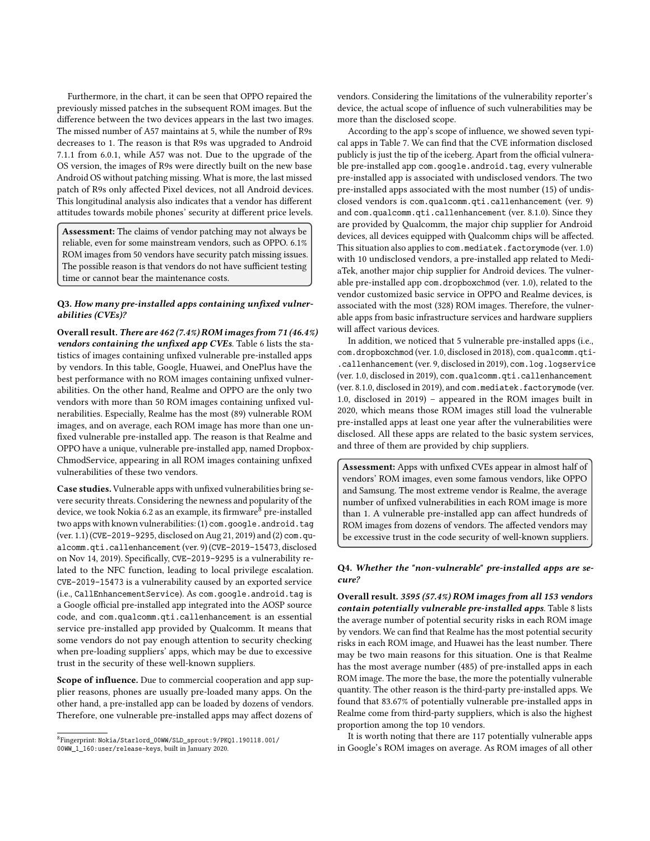Furthermore, in the chart, it can be seen that OPPO repaired the previously missed patches in the subsequent ROM images. But the difference between the two devices appears in the last two images. The missed number of A57 maintains at 5, while the number of R9s decreases to 1. The reason is that R9s was upgraded to Android 7.1.1 from 6.0.1, while A57 was not. Due to the upgrade of the OS version, the images of R9s were directly built on the new base Android OS without patching missing. What is more, the last missed patch of R9s only affected Pixel devices, not all Android devices. This longitudinal analysis also indicates that a vendor has different attitudes towards mobile phones' security at different price levels.

Assessment: The claims of vendor patching may not always be reliable, even for some mainstream vendors, such as OPPO. 6.1% ROM images from 50 vendors have security patch missing issues. The possible reason is that vendors do not have sufficient testing time or cannot bear the maintenance costs.

## Q3. How many pre-installed apps containing unfixed vulnerabilities (CVEs)?

Overall result. There are 462 (7.4%) ROM images from 71 (46.4%) vendors containing the unfixed app CVEs. Table 6 lists the statistics of images containing unfixed vulnerable pre-installed apps by vendors. In this table, Google, Huawei, and OnePlus have the best performance with no ROM images containing unfixed vulnerabilities. On the other hand, Realme and OPPO are the only two vendors with more than 50 ROM images containing unfixed vulnerabilities. Especially, Realme has the most (89) vulnerable ROM images, and on average, each ROM image has more than one unfixed vulnerable pre-installed app. The reason is that Realme and OPPO have a unique, vulnerable pre-installed app, named Dropbox-ChmodService, appearing in all ROM images containing unfixed vulnerabilities of these two vendors.

Case studies. Vulnerable apps with unfixed vulnerabilities bring severe security threats. Considering the newness and popularity of the device, we took Nokia 6.2 as an example, its firmware<sup>8</sup> pre-installed two apps with known vulnerabilities: (1) com. google.android.tag (ver. 1.1) (CVE-2019-9295, disclosed on Aug 21, 2019) and (2) com.qualcomm.qti.callenhancement (ver. 9) (CVE-2019-15473, disclosed on Nov 14, 2019). Specifically, CVE-2019-9295 is a vulnerability related to the NFC function, leading to local privilege escalation. CVE-2019-15473 is a vulnerability caused by an exported service (i.e., CallEnhancementService). As com.google.android.tag is a Google official pre-installed app integrated into the AOSP source code, and com.qualcomm.qti.callenhancement is an essential service pre-installed app provided by Qualcomm. It means that some vendors do not pay enough attention to security checking when pre-loading suppliers' apps, which may be due to excessive trust in the security of these well-known suppliers.

Scope of influence. Due to commercial cooperation and app supplier reasons, phones are usually pre-loaded many apps. On the other hand, a pre-installed app can be loaded by dozens of vendors. Therefore, one vulnerable pre-installed apps may affect dozens of

vendors. Considering the limitations of the vulnerability reporter's device, the actual scope of influence of such vulnerabilities may be more than the disclosed scope.

According to the app's scope of influence, we showed seven typical apps in Table 7. We can find that the CVE information disclosed publicly is just the tip of the iceberg. Apart from the official vulnerable pre-installed app com.google.android.tag, every vulnerable pre-installed app is associated with undisclosed vendors. The two pre-installed apps associated with the most number (15) of undisclosed vendors is com.qualcomm.qti.callenhancement (ver. 9) and com.qualcomm.qti.callenhancement (ver. 8.1.0). Since they are provided by Qualcomm, the major chip supplier for Android devices, all devices equipped with Qualcomm chips will be affected. This situation also applies to com.mediatek.factorymode (ver. 1.0) with 10 undisclosed vendors, a pre-installed app related to MediaTek, another major chip supplier for Android devices. The vulnerable pre-installed app com.dropboxchmod (ver. 1.0), related to the vendor customized basic service in OPPO and Realme devices, is associated with the most (328) ROM images. Therefore, the vulnerable apps from basic infrastructure services and hardware suppliers will affect various devices.

In addition, we noticed that 5 vulnerable pre-installed apps (i.e., com.dropboxchmod (ver. 1.0, disclosed in 2018), com.qualcomm.qti- .callenhancement (ver. 9, disclosed in 2019), com.log.logservice (ver. 1.0, disclosed in 2019), com.qualcomm.qti.callenhancement (ver. 8.1.0, disclosed in 2019), and com.mediatek.factorymode (ver. 1.0, disclosed in 2019) – appeared in the ROM images built in 2020, which means those ROM images still load the vulnerable pre-installed apps at least one year after the vulnerabilities were disclosed. All these apps are related to the basic system services, and three of them are provided by chip suppliers.

Assessment: Apps with unfixed CVEs appear in almost half of vendors' ROM images, even some famous vendors, like OPPO and Samsung. The most extreme vendor is Realme, the average number of unfixed vulnerabilities in each ROM image is more than 1. A vulnerable pre-installed app can affect hundreds of ROM images from dozens of vendors. The affected vendors may be excessive trust in the code security of well-known suppliers.

## Q4. Whether the "non-vulnerable" pre-installed apps are secure?

Overall result. 3595 (57.4%) ROM images from all 153 vendors contain potentially vulnerable pre-installed apps. Table 8 lists the average number of potential security risks in each ROM image by vendors. We can find that Realme has the most potential security risks in each ROM image, and Huawei has the least number. There may be two main reasons for this situation. One is that Realme has the most average number (485) of pre-installed apps in each ROM image. The more the base, the more the potentially vulnerable quantity. The other reason is the third-party pre-installed apps. We found that 83.67% of potentially vulnerable pre-installed apps in Realme come from third-party suppliers, which is also the highest proportion among the top 10 vendors.

It is worth noting that there are 117 potentially vulnerable apps in Google's ROM images on average. As ROM images of all other

<sup>8</sup> Fingerprint: Nokia/Starlord\_00WW/SLD\_sprout:9/PKQ1.190118.001/ 00WW\_1\_160:user/release-keys, built in January 2020.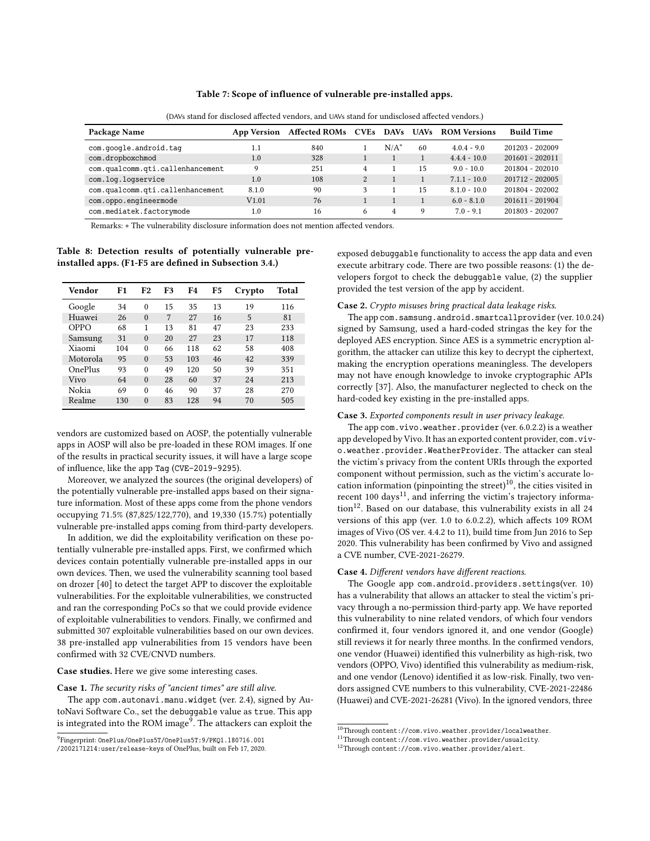#### Table 7: Scope of influence of vulnerable pre-installed apps.

| Package Name                     | <b>App Version</b> | Affected ROMs CVEs |   |                | DAVs UAVs | <b>ROM Versions</b> | <b>Build Time</b> |
|----------------------------------|--------------------|--------------------|---|----------------|-----------|---------------------|-------------------|
| com.google.android.tag           | 1.1                | 840                |   | $N/A^*$        | 60        | $4.0.4 - 9.0$       | 201203 - 202009   |
| com.dropboxchmod                 | 1.0                | 328                |   |                |           | $4.4.4 - 10.0$      | 201601 - 202011   |
| com.qualcomm.qti.callenhancement | 9                  | 251                | 4 |                | 15        | $9.0 - 10.0$        | 201804 - 202010   |
| com.log.logservice               | 1.0                | 108                |   |                |           | $7.1.1 - 10.0$      | 201712 - 202005   |
| com.qualcomm.qti.callenhancement | 8.1.0              | 90                 |   |                | 15        | $8.1.0 - 10.0$      | 201804 - 202002   |
| com.oppo.engineermode            | V1.01              | 76                 |   |                |           | $6.0 - 8.1.0$       | 201611 - 201904   |
| com.mediatek.factorymode         | 1.0                | 16                 | 6 | $\overline{4}$ | 9         | $7.0 - 9.1$         | 201803 - 202007   |

(DAVs stand for disclosed affected vendors, and UAVs stand for undisclosed affected vendors.)

Remarks: ∗ The vulnerability disclosure information does not mention affected vendors.

Table 8: Detection results of potentially vulnerable preinstalled apps. (F1-F5 are defined in Subsection 3.4.)

| Vendor         | F1  | F2       | F3 | F4  | F5 | Crypto | Total |
|----------------|-----|----------|----|-----|----|--------|-------|
| Google         | 34  | $\theta$ | 15 | 35  | 13 | 19     | 116   |
| Huawei         | 26  | $\theta$ | 7  | 27  | 16 | 5      | 81    |
| OPPO           | 68  | 1        | 13 | 81  | 47 | 23     | 233   |
| Samsung        | 31  | $\theta$ | 20 | 27  | 23 | 17     | 118   |
| Xiaomi         | 104 | $\Omega$ | 66 | 118 | 62 | 58     | 408   |
| Motorola       | 95  | $\Omega$ | 53 | 103 | 46 | 42     | 339   |
| <b>OnePlus</b> | 93  | $\Omega$ | 49 | 120 | 50 | 39     | 351   |
| Vivo           | 64  | $\Omega$ | 28 | 60  | 37 | 24     | 213   |
| Nokia          | 69  | $\Omega$ | 46 | 90  | 37 | 28     | 270   |
| Realme         | 130 | $\Omega$ | 83 | 128 | 94 | 70     | 505   |

vendors are customized based on AOSP, the potentially vulnerable apps in AOSP will also be pre-loaded in these ROM images. If one of the results in practical security issues, it will have a large scope of influence, like the app Tag (CVE-2019-9295).

Moreover, we analyzed the sources (the original developers) of the potentially vulnerable pre-installed apps based on their signature information. Most of these apps come from the phone vendors occupying 71.5% (87,825/122,770), and 19,330 (15.7%) potentially vulnerable pre-installed apps coming from third-party developers.

In addition, we did the exploitability verification on these potentially vulnerable pre-installed apps. First, we confirmed which devices contain potentially vulnerable pre-installed apps in our own devices. Then, we used the vulnerability scanning tool based on drozer [40] to detect the target APP to discover the exploitable vulnerabilities. For the exploitable vulnerabilities, we constructed and ran the corresponding PoCs so that we could provide evidence of exploitable vulnerabilities to vendors. Finally, we confirmed and submitted 307 exploitable vulnerabilities based on our own devices. 38 pre-installed app vulnerabilities from 15 vendors have been confirmed with 32 CVE/CNVD numbers.

#### Case studies. Here we give some interesting cases.

#### Case 1. The security risks of "ancient times" are still alive.

The app com.autonavi.manu.widget (ver. 2.4), signed by AutoNavi Software Co., set the debuggable value as true. This app is integrated into the ROM image $^9$ . The attackers can exploit the

exposed debuggable functionality to access the app data and even execute arbitrary code. There are two possible reasons: (1) the developers forgot to check the debuggable value, (2) the supplier provided the test version of the app by accident.

#### Case 2. Crypto misuses bring practical data leakage risks.

The app com.samsung.android.smartcallprovider (ver. 10.0.24) signed by Samsung, used a hard-coded stringas the key for the deployed AES encryption. Since AES is a symmetric encryption algorithm, the attacker can utilize this key to decrypt the ciphertext, making the encryption operations meaningless. The developers may not have enough knowledge to invoke cryptographic APIs correctly [37]. Also, the manufacturer neglected to check on the hard-coded key existing in the pre-installed apps.

#### Case 3. Exported components result in user privacy leakage.

The app com. vivo.weather.provider (ver. 6.0.2.2) is a weather app developed by Vivo. It has an exported content provider, com. vivo.weather.provider.WeatherProvider. The attacker can steal the victim's privacy from the content URIs through the exported component without permission, such as the victim's accurate location information (pinpointing the street) $10$ , the cities visited in recent  $100 \text{ days}^{11}$ , and inferring the victim's trajectory informa- $\frac{12}{2}$ . Based on our database, this vulnerability exists in all 24 versions of this app (ver. 1.0 to 6.0.2.2), which affects 109 ROM images of Vivo (OS ver. 4.4.2 to 11), build time from Jun 2016 to Sep 2020. This vulnerability has been confirmed by Vivo and assigned a CVE number, CVE-2021-26279.

#### Case 4. Different vendors have different reactions.

The Google app com.android.providers.settings(ver. 10) has a vulnerability that allows an attacker to steal the victim's privacy through a no-permission third-party app. We have reported this vulnerability to nine related vendors, of which four vendors confirmed it, four vendors ignored it, and one vendor (Google) still reviews it for nearly three months. In the confirmed vendors, one vendor (Huawei) identified this vulnerbility as high-risk, two vendors (OPPO, Vivo) identified this vulnerability as medium-risk, and one vendor (Lenovo) identified it as low-risk. Finally, two vendors assigned CVE numbers to this vulnerability, CVE-2021-22486 (Huawei) and CVE-2021-26281 (Vivo). In the ignored vendors, three

<sup>9</sup> Fingerprint: OnePlus/OnePlus5T/OnePlus5T:9/PKQ1.180716.001

<sup>/2002171214:</sup>user/release-keys of OnePlus, built on Feb 17, 2020.

 $\overline{^{10}$ Through content://com.vivo.weather.provider/localweather.

<sup>11</sup>Through content://com.vivo.weather.provider/usualcity.

<sup>12</sup>Through content://com.vivo.weather.provider/alert.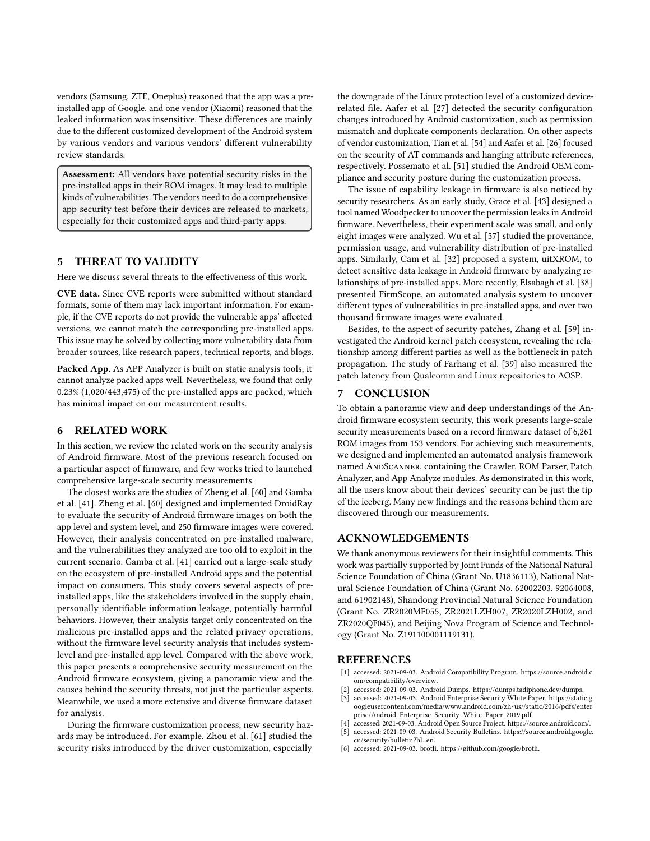vendors (Samsung, ZTE, Oneplus) reasoned that the app was a preinstalled app of Google, and one vendor (Xiaomi) reasoned that the leaked information was insensitive. These differences are mainly due to the different customized development of the Android system by various vendors and various vendors' different vulnerability review standards.

Assessment: All vendors have potential security risks in the pre-installed apps in their ROM images. It may lead to multiple kinds of vulnerabilities. The vendors need to do a comprehensive app security test before their devices are released to markets, especially for their customized apps and third-party apps.

# 5 THREAT TO VALIDITY

Here we discuss several threats to the effectiveness of this work.

CVE data. Since CVE reports were submitted without standard formats, some of them may lack important information. For example, if the CVE reports do not provide the vulnerable apps' affected versions, we cannot match the corresponding pre-installed apps. This issue may be solved by collecting more vulnerability data from broader sources, like research papers, technical reports, and blogs.

Packed App. As APP Analyzer is built on static analysis tools, it cannot analyze packed apps well. Nevertheless, we found that only 0.23% (1,020/443,475) of the pre-installed apps are packed, which has minimal impact on our measurement results.

## 6 RELATED WORK

In this section, we review the related work on the security analysis of Android firmware. Most of the previous research focused on a particular aspect of firmware, and few works tried to launched comprehensive large-scale security measurements.

The closest works are the studies of Zheng et al. [60] and Gamba et al. [41]. Zheng et al. [60] designed and implemented DroidRay to evaluate the security of Android firmware images on both the app level and system level, and 250 firmware images were covered. However, their analysis concentrated on pre-installed malware, and the vulnerabilities they analyzed are too old to exploit in the current scenario. Gamba et al. [41] carried out a large-scale study on the ecosystem of pre-installed Android apps and the potential impact on consumers. This study covers several aspects of preinstalled apps, like the stakeholders involved in the supply chain, personally identifiable information leakage, potentially harmful behaviors. However, their analysis target only concentrated on the malicious pre-installed apps and the related privacy operations, without the firmware level security analysis that includes systemlevel and pre-installed app level. Compared with the above work, this paper presents a comprehensive security measurement on the Android firmware ecosystem, giving a panoramic view and the causes behind the security threats, not just the particular aspects. Meanwhile, we used a more extensive and diverse firmware dataset for analysis.

During the firmware customization process, new security hazards may be introduced. For example, Zhou et al. [61] studied the security risks introduced by the driver customization, especially

the downgrade of the Linux protection level of a customized devicerelated file. Aafer et al. [27] detected the security configuration changes introduced by Android customization, such as permission mismatch and duplicate components declaration. On other aspects of vendor customization, Tian et al. [54] and Aafer et al. [26] focused on the security of AT commands and hanging attribute references, respectively. Possemato et al. [51] studied the Android OEM compliance and security posture during the customization process.

The issue of capability leakage in firmware is also noticed by security researchers. As an early study, Grace et al. [43] designed a tool named Woodpecker to uncover the permission leaks in Android firmware. Nevertheless, their experiment scale was small, and only eight images were analyzed. Wu et al. [57] studied the provenance, permission usage, and vulnerability distribution of pre-installed apps. Similarly, Cam et al. [32] proposed a system, uitXROM, to detect sensitive data leakage in Android firmware by analyzing relationships of pre-installed apps. More recently, Elsabagh et al. [38] presented FirmScope, an automated analysis system to uncover different types of vulnerabilities in pre-installed apps, and over two thousand firmware images were evaluated.

Besides, to the aspect of security patches, Zhang et al. [59] investigated the Android kernel patch ecosystem, revealing the relationship among different parties as well as the bottleneck in patch propagation. The study of Farhang et al. [39] also measured the patch latency from Qualcomm and Linux repositories to AOSP.

# 7 CONCLUSION

To obtain a panoramic view and deep understandings of the Android firmware ecosystem security, this work presents large-scale security measurements based on a record firmware dataset of 6,261 ROM images from 153 vendors. For achieving such measurements, we designed and implemented an automated analysis framework named ANDSCANNER, containing the Crawler, ROM Parser, Patch Analyzer, and App Analyze modules. As demonstrated in this work, all the users know about their devices' security can be just the tip of the iceberg. Many new findings and the reasons behind them are discovered through our measurements.

#### ACKNOWLEDGEMENTS

We thank anonymous reviewers for their insightful comments. This work was partially supported by Joint Funds of the National Natural Science Foundation of China (Grant No. U1836113), National Natural Science Foundation of China (Grant No. 62002203, 92064008, and 61902148), Shandong Provincial Natural Science Foundation (Grant No. ZR2020MF055, ZR2021LZH007, ZR2020LZH002, and ZR2020QF045), and Beijing Nova Program of Science and Technology (Grant No. Z191100001119131).

## **REFERENCES**

- [1] accessed: 2021-09-03. Android Compatibility Program. https://source.android.c om/compatibility/overview.
- [2] accessed: 2021-09-03. Android Dumps. https://dumps.tadiphone.dev/dumps.
- accessed: 2021-09-03. Android Enterprise Security White Paper. https://static.g oogleusercontent.com/media/www.android.com/zh-us//static/2016/pdfs/enter prise/Android\_Enterprise\_Security\_White\_Paper\_2019.pdf.
- accessed: 2021-09-03. Android Open Source Project. https://source.android.com/. [5] accessed: 2021-09-03. Android Security Bulletins. https://source.android.google.
- cn/security/bulletin?hl=en.
- [6] accessed: 2021-09-03. brotli. https://github.com/google/brotli.